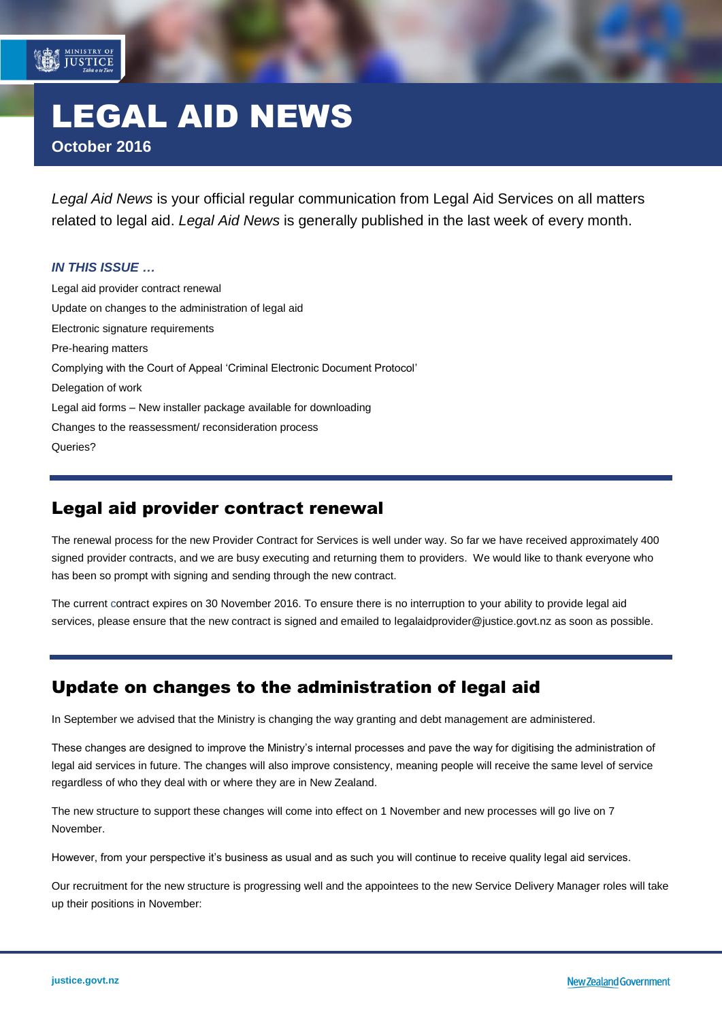# LEGAL AID NEWS **October 2016**

*Legal Aid News* is your official regular communication from Legal Aid Services on all matters related to legal aid. *Legal Aid News* is generally published in the last week of every month.

#### *IN THIS ISSUE …*

MINISTRY OF

[Legal aid provider contract renewal](#page-0-0) [Update on changes to the administration of legal aid](#page-0-1) [Electronic signature requirements](#page-1-0) [Pre-hearing matters](#page-1-1) [Complying with the Court of Appeal 'Criminal Electronic Document Protocol'](#page-1-2) [Delegation of work](#page-2-0) Legal aid forms – [New installer package available for downloading](#page-2-1) [Changes to the reassessment/ reconsideration process](#page-2-2) [Queries?](#page-2-3)

### <span id="page-0-0"></span>Legal aid provider contract renewal

The renewal process for the new Provider Contract for Services is well under way. So far we have received approximately 400 signed provider contracts, and we are busy executing and returning them to providers. We would like to thank everyone who has been so prompt with signing and sending through the new contract.

<span id="page-0-1"></span>The current contract expires on 30 November 2016. To ensure there is no interruption to your ability to provide legal aid services, please ensure that the new contract is signed and emailed to [legalaidprovider@justice.govt.nz](mailto:legalaidprovider@justice.govt.nz) as soon as possible.

### Update on changes to the administration of legal aid

In September we advised that the Ministry is changing the way granting and debt management are administered.

These changes are designed to improve the Ministry's internal processes and pave the way for digitising the administration of legal aid services in future. The changes will also improve consistency, meaning people will receive the same level of service regardless of who they deal with or where they are in New Zealand.

The new structure to support these changes will come into effect on 1 November and new processes will go live on 7 November.

However, from your perspective it's business as usual and as such you will continue to receive quality legal aid services.

Our recruitment for the new structure is progressing well and the appointees to the new Service Delivery Manager roles will take up their positions in November: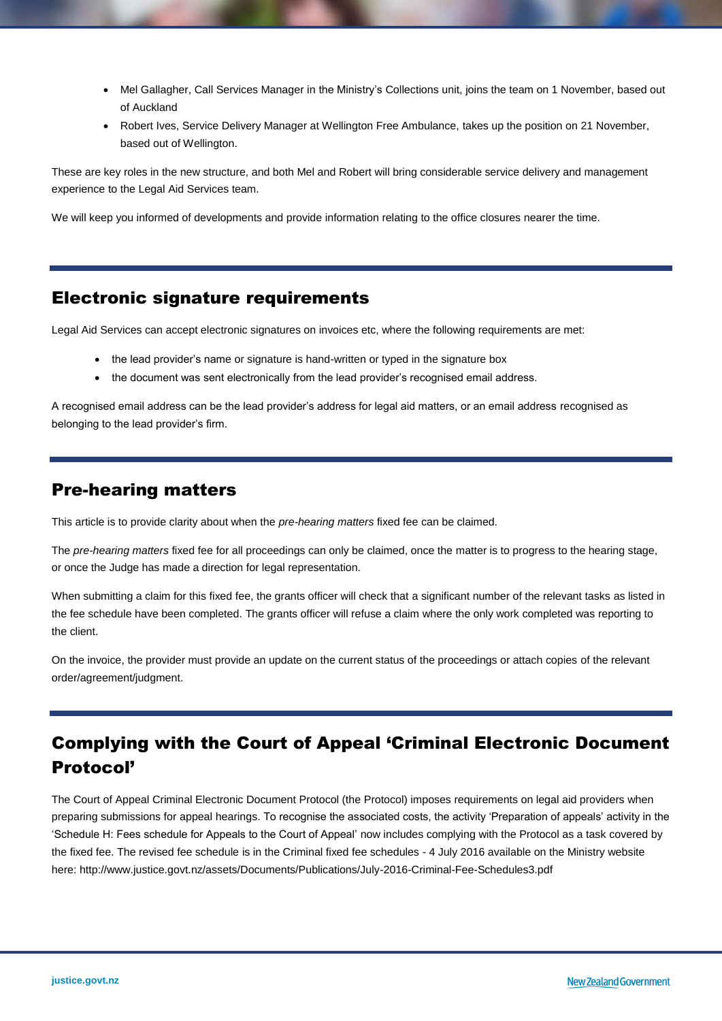- Mel Gallagher, Call Services Manager in the Ministry's Collections unit, joins the team on 1 November, based out of Auckland
- Robert Ives, Service Delivery Manager at Wellington Free Ambulance, takes up the position on 21 November, based out of Wellington.

These are key roles in the new structure, and both Mel and Robert will bring considerable service delivery and management experience to the Legal Aid Services team.

<span id="page-1-0"></span>We will keep you informed of developments and provide information relating to the office closures nearer the time.

### Electronic signature requirements

Legal Aid Services can accept electronic signatures on invoices etc, where the following requirements are met:

- the lead provider's name or signature is hand-written or typed in the signature box
- the document was sent electronically from the lead provider's recognised email address.

<span id="page-1-1"></span>A recognised email address can be the lead provider's address for legal aid matters, or an email address recognised as belonging to the lead provider's firm.

### Pre-hearing matters

This article is to provide clarity about when the *pre-hearing matters* fixed fee can be claimed.

The *pre-hearing matters* fixed fee for all proceedings can only be claimed, once the matter is to progress to the hearing stage, or once the Judge has made a direction for legal representation.

When submitting a claim for this fixed fee, the grants officer will check that a significant number of the relevant tasks as listed in the fee schedule have been completed. The grants officer will refuse a claim where the only work completed was reporting to the client.

<span id="page-1-2"></span>On the invoice, the provider must provide an update on the current status of the proceedings or attach copies of the relevant order/agreement/judgment.

## Complying with the Court of Appeal 'Criminal Electronic Document Protocol'

The Court of Appeal Criminal Electronic Document Protocol (the Protocol) imposes requirements on legal aid providers when preparing submissions for appeal hearings. To recognise the associated costs, the activity 'Preparation of appeals' activity in the 'Schedule H: Fees schedule for Appeals to the Court of Appeal' now includes complying with the Protocol as a task covered by the fixed fee. The revised fee schedule is in the [Criminal fixed fee schedules -](http://www.justice.govt.nz/assets/Documents/Publications/July-2016-Criminal-Fee-Schedules3.pdf) 4 July 2016 available on the Ministry website here: <http://www.justice.govt.nz/assets/Documents/Publications/July-2016-Criminal-Fee-Schedules3.pdf>